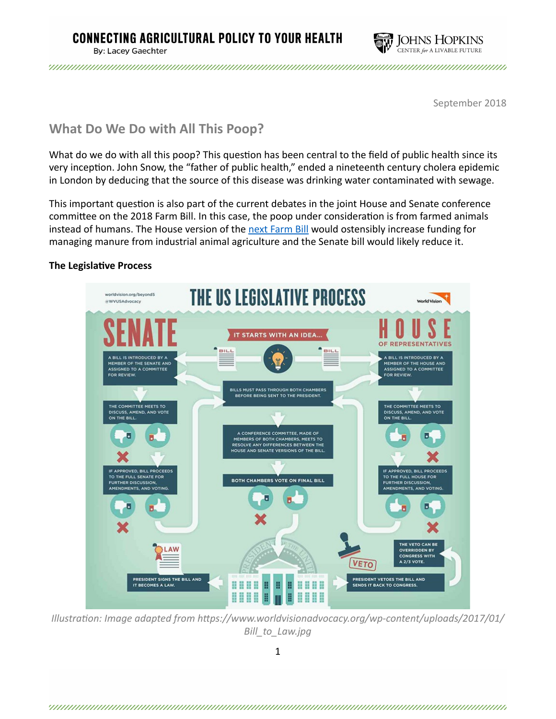

September 2018

# **What Do We Do with All This Poop?**

What do we do with all this poop? This question has been central to the field of public health since its very inception. John Snow, the "father of public health," ended a nineteenth century cholera epidemic in London by deducing that the source of this disease was drinking water contaminated with sewage.

This important question is also part of the current debates in the joint House and Senate conference committee on the 2018 Farm Bill. In this case, the poop under consideration is from farmed animals instead of humans. The House version of the next Farm Bill would ostensibly increase funding for managing manure from industrial animal agriculture and the Senate bill would likely reduce it.

# **The Legislative Process**



*Illustration: Image adapted from https://www.worldvisionadvocacy.org/wp-content/uploads/2017/01/ Bill\_to\_Law.jpg*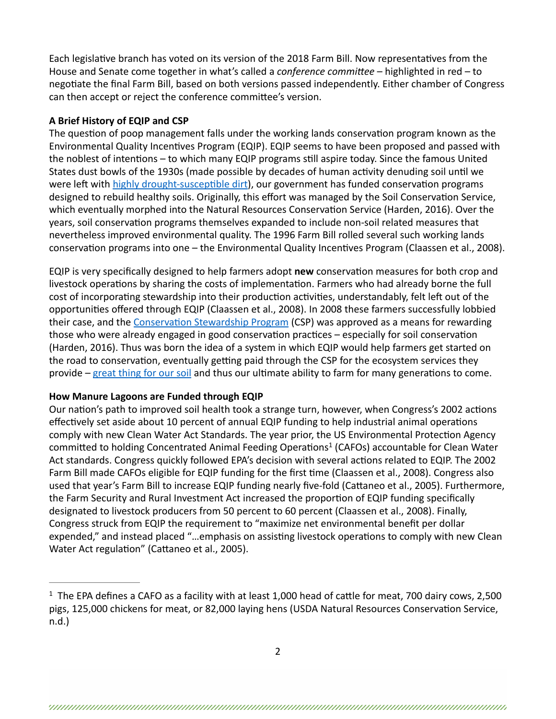Each legislative branch has voted on its version of the 2018 Farm Bill. Now representatives from the House and Senate come together in what's called a *conference committee* – highlighted in red – to negotiate the final Farm Bill, based on both versions passed independently. Either chamber of Congress can then accept or reject the conference committee's version.

## **A Brief History of EQIP and CSP**

The question of poop management falls under the working lands conservation program known as the Environmental Quality Incentives Program (EQIP). EQIP seems to have been proposed and passed with the noblest of intentions – to which many EQIP programs still aspire today. Since the famous United States dust bowls of the 1930s (made possible by decades of human activity denuding soil until we were left with highly drought-susceptible dirt), our government has funded conservation programs designed to rebuild healthy soils. Originally, this effort was managed by the Soil Conservation Service, which eventually morphed into the Natural Resources Conservation Service (Harden, 2016). Over the years, soil conservation programs themselves expanded to include non-soil related measures that nevertheless improved environmental quality. The 1996 Farm Bill rolled several such working lands conservation programs into one – the Environmental Quality Incentives Program (Claassen et al., 2008).

EQIP is very specifically designed to help farmers adopt **new** conservation measures for both crop and livestock operations by sharing the costs of implementation. Farmers who had already borne the full cost of incorporating stewardship into their production activities, understandably, felt left out of the opportunities offered through EQIP (Claassen et al., 2008). In 2008 these farmers successfully lobbied their case, and the Conservation Stewardship Program (CSP) was approved as a means for rewarding those who were already engaged in good conservation practices  $-$  especially for soil conservation (Harden, 2016). Thus was born the idea of a system in which EQIP would help farmers get started on the road to conservation, eventually getting paid through the CSP for the ecosystem services they provide – great thing for our soil and thus our ultimate ability to farm for many generations to come.

## **How Manure Lagoons are Funded through EQIP**

Our nation's path to improved soil health took a strange turn, however, when Congress's 2002 actions effectively set aside about 10 percent of annual EQIP funding to help industrial animal operations comply with new Clean Water Act Standards. The year prior, the US Environmental Protection Agency committed to holding Concentrated Animal Feeding Operations<sup>1</sup> (CAFOs) accountable for Clean Water Act standards. Congress quickly followed EPA's decision with several actions related to EQIP. The 2002 Farm Bill made CAFOs eligible for EQIP funding for the first time (Claassen et al., 2008). Congress also used that year's Farm Bill to increase EQIP funding nearly five-fold (Cattaneo et al., 2005). Furthermore, the Farm Security and Rural Investment Act increased the proportion of EQIP funding specifically designated to livestock producers from 50 percent to 60 percent (Claassen et al., 2008). Finally, Congress struck from EQIP the requirement to "maximize net environmental benefit per dollar expended," and instead placed "...emphasis on assisting livestock operations to comply with new Clean Water Act regulation" (Cattaneo et al., 2005).

 $1$  The EPA defines a CAFO as a facility with at least 1,000 head of cattle for meat, 700 dairy cows, 2,500 pigs, 125,000 chickens for meat, or 82,000 laying hens (USDA Natural Resources Conservation Service, n.d.)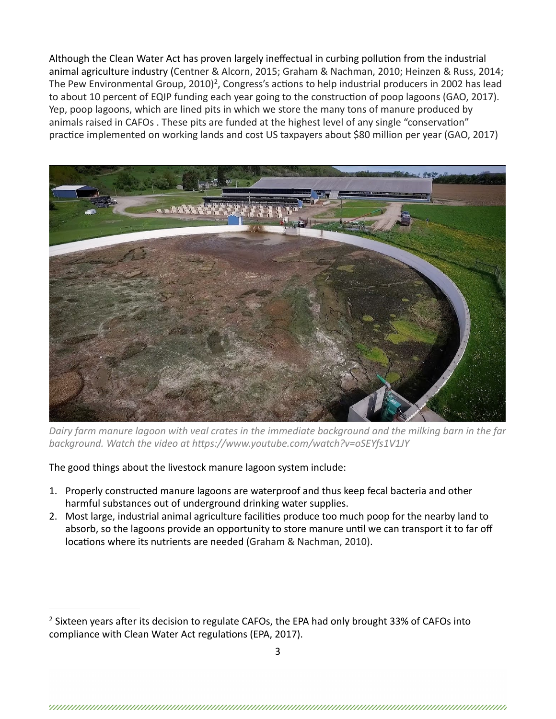Although the Clean Water Act has proven largely ineffectual in curbing pollution from the industrial animal agriculture industry (Centner & Alcorn, 2015; Graham & Nachman, 2010; Heinzen & Russ, 2014; The Pew Environmental Group, 2010)<sup>2</sup>, Congress's actions to help industrial producers in 2002 has lead to about 10 percent of EQIP funding each year going to the construction of poop lagoons (GAO, 2017). Yep, poop lagoons, which are lined pits in which we store the many tons of manure produced by animals raised in CAFOs. These pits are funded at the highest level of any single "conservation" practice implemented on working lands and cost US taxpayers about \$80 million per year (GAO, 2017)



Dairy farm manure lagoon with veal crates in the immediate background and the milking barn in the far *background.* Watch the video at https://www.youtube.com/watch?v=oSEYfs1V1JY

The good things about the livestock manure lagoon system include:

- 1. Properly constructed manure lagoons are waterproof and thus keep fecal bacteria and other harmful substances out of underground drinking water supplies.
- 2. Most large, industrial animal agriculture facilities produce too much poop for the nearby land to absorb, so the lagoons provide an opportunity to store manure until we can transport it to far off locations where its nutrients are needed (Graham & Nachman, 2010).

 $2$  Sixteen years after its decision to regulate CAFOs, the EPA had only brought 33% of CAFOs into compliance with Clean Water Act regulations (EPA, 2017).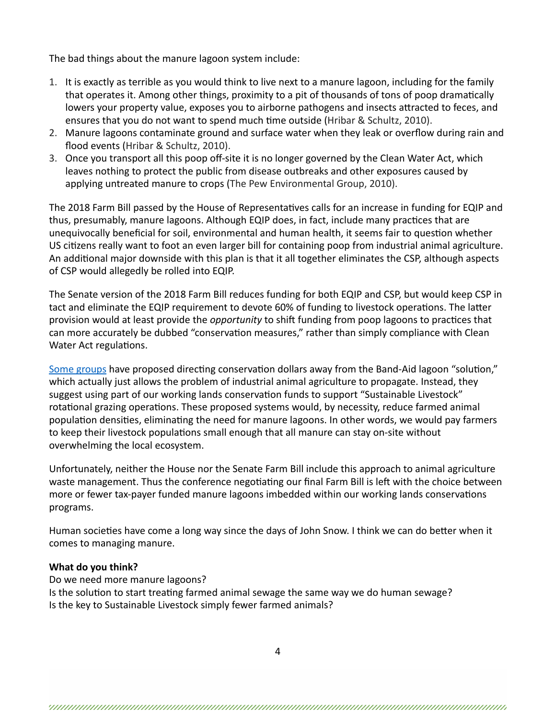The bad things about the manure lagoon system include:

- 1. It is exactly as terrible as you would think to live next to a manure lagoon, including for the family that operates it. Among other things, proximity to a pit of thousands of tons of poop dramatically lowers your property value, exposes you to airborne pathogens and insects attracted to feces, and ensures that you do not want to spend much time outside (Hribar & Schultz, 2010).
- 2. Manure lagoons contaminate ground and surface water when they leak or overflow during rain and flood events (Hribar & Schultz, 2010).
- 3. Once you transport all this poop off-site it is no longer governed by the Clean Water Act, which leaves nothing to protect the public from disease outbreaks and other exposures caused by applying untreated manure to crops (The Pew Environmental Group, 2010).

The 2018 Farm Bill passed by the House of Representatives calls for an increase in funding for EQIP and thus, presumably, manure lagoons. Although EQIP does, in fact, include many practices that are unequivocally beneficial for soil, environmental and human health, it seems fair to question whether US citizens really want to foot an even larger bill for containing poop from industrial animal agriculture. An additional major downside with this plan is that it all together eliminates the CSP, although aspects of CSP would allegedly be rolled into EQIP.

The Senate version of the 2018 Farm Bill reduces funding for both EQIP and CSP, but would keep CSP in tact and eliminate the EQIP requirement to devote 60% of funding to livestock operations. The latter provision would at least provide the *opportunity* to shift funding from poop lagoons to practices that can more accurately be dubbed "conservation measures," rather than simply compliance with Clean Water Act regulations.

Some groups have proposed directing conservation dollars away from the Band-Aid lagoon "solution," which actually just allows the problem of industrial animal agriculture to propagate. Instead, they suggest using part of our working lands conservation funds to support "Sustainable Livestock" rotational grazing operations. These proposed systems would, by necessity, reduce farmed animal population densities, eliminating the need for manure lagoons. In other words, we would pay farmers to keep their livestock populations small enough that all manure can stay on-site without overwhelming the local ecosystem.

Unfortunately, neither the House nor the Senate Farm Bill include this approach to animal agriculture waste management. Thus the conference negotiating our final Farm Bill is left with the choice between more or fewer tax-payer funded manure lagoons imbedded within our working lands conservations programs. 

Human societies have come a long way since the days of John Snow. I think we can do better when it comes to managing manure.

#### **What do you think?**

Do we need more manure lagoons? Is the solution to start treating farmed animal sewage the same way we do human sewage? Is the key to Sustainable Livestock simply fewer farmed animals?